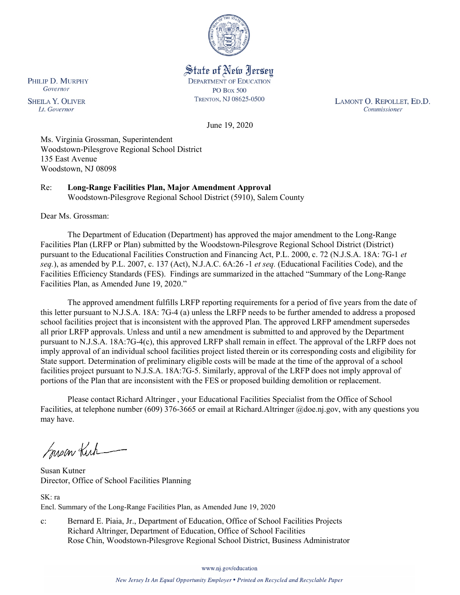

State of New Jersey **DEPARTMENT OF EDUCATION PO Box 500** TRENTON, NJ 08625-0500

LAMONT O. REPOLLET, ED.D. Commissioner

June 19, 2020

Ms. Virginia Grossman, Superintendent Woodstown-Pilesgrove Regional School District 135 East Avenue Woodstown, NJ 08098

Re: **Long-Range Facilities Plan, Major Amendment Approval** Woodstown-Pilesgrove Regional School District (5910), Salem County

Dear Ms. Grossman:

The Department of Education (Department) has approved the major amendment to the Long-Range Facilities Plan (LRFP or Plan) submitted by the Woodstown-Pilesgrove Regional School District (District) pursuant to the Educational Facilities Construction and Financing Act, P.L. 2000, c. 72 (N.J.S.A. 18A: 7G-1 *et seq.*), as amended by P.L. 2007, c. 137 (Act), N.J.A.C. 6A:26 -1 *et seq.* (Educational Facilities Code), and the Facilities Efficiency Standards (FES). Findings are summarized in the attached "Summary of the Long-Range Facilities Plan, as Amended June 19, 2020."

The approved amendment fulfills LRFP reporting requirements for a period of five years from the date of this letter pursuant to N.J.S.A. 18A: 7G-4 (a) unless the LRFP needs to be further amended to address a proposed school facilities project that is inconsistent with the approved Plan. The approved LRFP amendment supersedes all prior LRFP approvals. Unless and until a new amendment is submitted to and approved by the Department pursuant to N.J.S.A. 18A:7G-4(c), this approved LRFP shall remain in effect. The approval of the LRFP does not imply approval of an individual school facilities project listed therein or its corresponding costs and eligibility for State support. Determination of preliminary eligible costs will be made at the time of the approval of a school facilities project pursuant to N.J.S.A. 18A:7G-5. Similarly, approval of the LRFP does not imply approval of portions of the Plan that are inconsistent with the FES or proposed building demolition or replacement.

Please contact Richard Altringer , your Educational Facilities Specialist from the Office of School Facilities, at telephone number (609) 376-3665 or email at Richard.Altringer @doe.nj.gov, with any questions you may have.

Susan Kirk

Susan Kutner Director, Office of School Facilities Planning

SK: ra Encl. Summary of the Long-Range Facilities Plan, as Amended June 19, 2020

c: Bernard E. Piaia, Jr., Department of Education, Office of School Facilities Projects Richard Altringer, Department of Education, Office of School Facilities Rose Chin, Woodstown-Pilesgrove Regional School District, Business Administrator

www.nj.gov/education

New Jersey Is An Equal Opportunity Employer . Printed on Recycled and Recyclable Paper

PHILIP D. MURPHY Governor

**SHEILA Y. OLIVER** Lt. Governor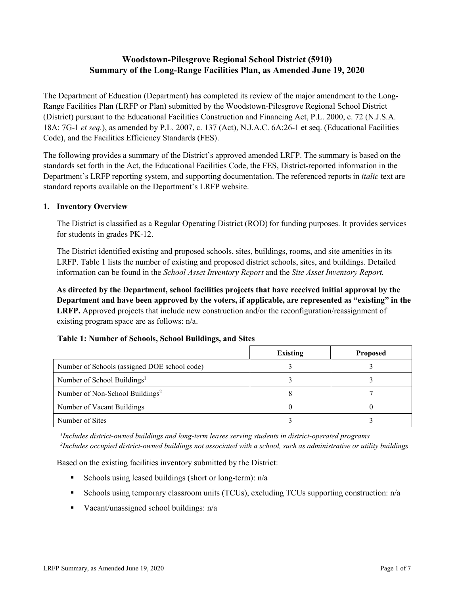# **Woodstown-Pilesgrove Regional School District (5910) Summary of the Long-Range Facilities Plan, as Amended June 19, 2020**

The Department of Education (Department) has completed its review of the major amendment to the Long-Range Facilities Plan (LRFP or Plan) submitted by the Woodstown-Pilesgrove Regional School District (District) pursuant to the Educational Facilities Construction and Financing Act, P.L. 2000, c. 72 (N.J.S.A. 18A: 7G-1 *et seq.*), as amended by P.L. 2007, c. 137 (Act), N.J.A.C. 6A:26-1 et seq. (Educational Facilities Code), and the Facilities Efficiency Standards (FES).

The following provides a summary of the District's approved amended LRFP. The summary is based on the standards set forth in the Act, the Educational Facilities Code, the FES, District-reported information in the Department's LRFP reporting system, and supporting documentation. The referenced reports in *italic* text are standard reports available on the Department's LRFP website.

## **1. Inventory Overview**

The District is classified as a Regular Operating District (ROD) for funding purposes. It provides services for students in grades PK-12.

The District identified existing and proposed schools, sites, buildings, rooms, and site amenities in its LRFP. Table 1 lists the number of existing and proposed district schools, sites, and buildings. Detailed information can be found in the *School Asset Inventory Report* and the *Site Asset Inventory Report.*

**As directed by the Department, school facilities projects that have received initial approval by the Department and have been approved by the voters, if applicable, are represented as "existing" in the LRFP.** Approved projects that include new construction and/or the reconfiguration/reassignment of existing program space are as follows: n/a.

|  |  | Table 1: Number of Schools, School Buildings, and Sites |  |
|--|--|---------------------------------------------------------|--|
|--|--|---------------------------------------------------------|--|

|                                              | <b>Existing</b> | <b>Proposed</b> |
|----------------------------------------------|-----------------|-----------------|
| Number of Schools (assigned DOE school code) |                 |                 |
| Number of School Buildings <sup>1</sup>      |                 |                 |
| Number of Non-School Buildings <sup>2</sup>  |                 |                 |
| Number of Vacant Buildings                   |                 |                 |
| Number of Sites                              |                 |                 |

*1 Includes district-owned buildings and long-term leases serving students in district-operated programs 2 Includes occupied district-owned buildings not associated with a school, such as administrative or utility buildings*

Based on the existing facilities inventory submitted by the District:

- Schools using leased buildings (short or long-term):  $n/a$
- Schools using temporary classroom units (TCUs), excluding TCUs supporting construction: n/a
- Vacant/unassigned school buildings:  $n/a$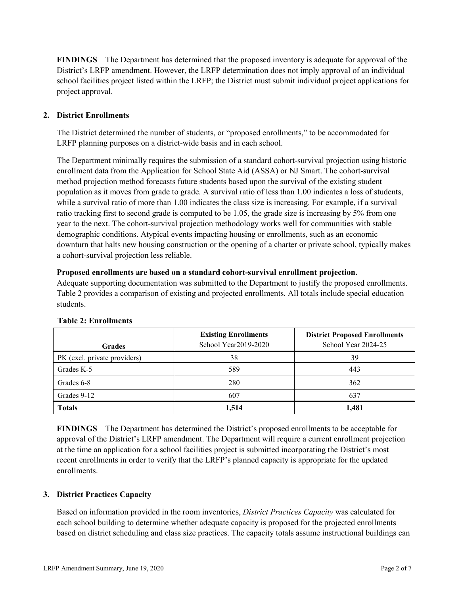**FINDINGS** The Department has determined that the proposed inventory is adequate for approval of the District's LRFP amendment. However, the LRFP determination does not imply approval of an individual school facilities project listed within the LRFP; the District must submit individual project applications for project approval.

## **2. District Enrollments**

The District determined the number of students, or "proposed enrollments," to be accommodated for LRFP planning purposes on a district-wide basis and in each school.

The Department minimally requires the submission of a standard cohort-survival projection using historic enrollment data from the Application for School State Aid (ASSA) or NJ Smart. The cohort-survival method projection method forecasts future students based upon the survival of the existing student population as it moves from grade to grade. A survival ratio of less than 1.00 indicates a loss of students, while a survival ratio of more than 1.00 indicates the class size is increasing. For example, if a survival ratio tracking first to second grade is computed to be 1.05, the grade size is increasing by 5% from one year to the next. The cohort-survival projection methodology works well for communities with stable demographic conditions. Atypical events impacting housing or enrollments, such as an economic downturn that halts new housing construction or the opening of a charter or private school, typically makes a cohort-survival projection less reliable.

#### **Proposed enrollments are based on a standard cohort-survival enrollment projection.**

Adequate supporting documentation was submitted to the Department to justify the proposed enrollments. Table 2 provides a comparison of existing and projected enrollments. All totals include special education students.

| <b>Grades</b>                | <b>Existing Enrollments</b><br>School Year2019-2020 | <b>District Proposed Enrollments</b><br>School Year 2024-25 |
|------------------------------|-----------------------------------------------------|-------------------------------------------------------------|
| PK (excl. private providers) | 38                                                  | 39                                                          |
| Grades K-5                   | 589                                                 | 443                                                         |
| Grades 6-8                   | 280                                                 | 362                                                         |
| Grades 9-12                  | 607                                                 | 637                                                         |
| <b>Totals</b>                | 1,514                                               | 1,481                                                       |

#### **Table 2: Enrollments**

**FINDINGS** The Department has determined the District's proposed enrollments to be acceptable for approval of the District's LRFP amendment. The Department will require a current enrollment projection at the time an application for a school facilities project is submitted incorporating the District's most recent enrollments in order to verify that the LRFP's planned capacity is appropriate for the updated enrollments.

#### **3. District Practices Capacity**

Based on information provided in the room inventories, *District Practices Capacity* was calculated for each school building to determine whether adequate capacity is proposed for the projected enrollments based on district scheduling and class size practices. The capacity totals assume instructional buildings can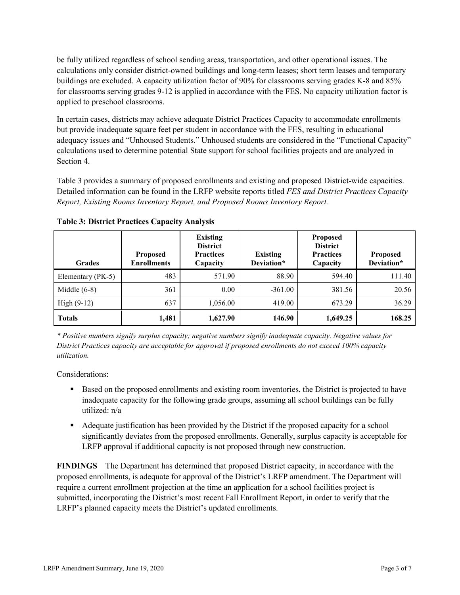be fully utilized regardless of school sending areas, transportation, and other operational issues. The calculations only consider district-owned buildings and long-term leases; short term leases and temporary buildings are excluded. A capacity utilization factor of 90% for classrooms serving grades K-8 and 85% for classrooms serving grades 9-12 is applied in accordance with the FES. No capacity utilization factor is applied to preschool classrooms.

In certain cases, districts may achieve adequate District Practices Capacity to accommodate enrollments but provide inadequate square feet per student in accordance with the FES, resulting in educational adequacy issues and "Unhoused Students." Unhoused students are considered in the "Functional Capacity" calculations used to determine potential State support for school facilities projects and are analyzed in Section 4.

Table 3 provides a summary of proposed enrollments and existing and proposed District-wide capacities. Detailed information can be found in the LRFP website reports titled *FES and District Practices Capacity Report, Existing Rooms Inventory Report, and Proposed Rooms Inventory Report.*

| <b>Grades</b>     | <b>Proposed</b><br><b>Enrollments</b> | <b>Existing</b><br><b>District</b><br><b>Practices</b><br>Capacity | <b>Existing</b><br>Deviation* | <b>Proposed</b><br><b>District</b><br><b>Practices</b><br>Capacity | <b>Proposed</b><br>Deviation* |
|-------------------|---------------------------------------|--------------------------------------------------------------------|-------------------------------|--------------------------------------------------------------------|-------------------------------|
| Elementary (PK-5) | 483                                   | 571.90                                                             | 88.90                         | 594.40                                                             | 111.40                        |
| Middle $(6-8)$    | 361                                   | 0.00                                                               | $-361.00$                     | 381.56                                                             | 20.56                         |
| High $(9-12)$     | 637                                   | 1,056.00                                                           | 419.00                        | 673.29                                                             | 36.29                         |
| <b>Totals</b>     | 1,481                                 | 1,627.90                                                           | 146.90                        | 1,649.25                                                           | 168.25                        |

**Table 3: District Practices Capacity Analysis**

*\* Positive numbers signify surplus capacity; negative numbers signify inadequate capacity. Negative values for District Practices capacity are acceptable for approval if proposed enrollments do not exceed 100% capacity utilization.*

Considerations:

- **Based on the proposed enrollments and existing room inventories, the District is projected to have** inadequate capacity for the following grade groups, assuming all school buildings can be fully utilized: n/a
- Adequate justification has been provided by the District if the proposed capacity for a school significantly deviates from the proposed enrollments. Generally, surplus capacity is acceptable for LRFP approval if additional capacity is not proposed through new construction.

**FINDINGS**The Department has determined that proposed District capacity, in accordance with the proposed enrollments, is adequate for approval of the District's LRFP amendment. The Department will require a current enrollment projection at the time an application for a school facilities project is submitted, incorporating the District's most recent Fall Enrollment Report, in order to verify that the LRFP's planned capacity meets the District's updated enrollments.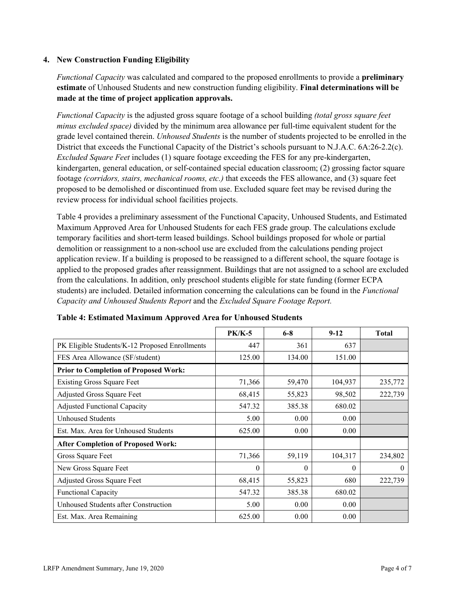### **4. New Construction Funding Eligibility**

*Functional Capacity* was calculated and compared to the proposed enrollments to provide a **preliminary estimate** of Unhoused Students and new construction funding eligibility. **Final determinations will be made at the time of project application approvals.**

*Functional Capacity* is the adjusted gross square footage of a school building *(total gross square feet minus excluded space)* divided by the minimum area allowance per full-time equivalent student for the grade level contained therein. *Unhoused Students* is the number of students projected to be enrolled in the District that exceeds the Functional Capacity of the District's schools pursuant to N.J.A.C. 6A:26-2.2(c). *Excluded Square Feet* includes (1) square footage exceeding the FES for any pre-kindergarten, kindergarten, general education, or self-contained special education classroom; (2) grossing factor square footage *(corridors, stairs, mechanical rooms, etc.)* that exceeds the FES allowance, and (3) square feet proposed to be demolished or discontinued from use. Excluded square feet may be revised during the review process for individual school facilities projects.

Table 4 provides a preliminary assessment of the Functional Capacity, Unhoused Students, and Estimated Maximum Approved Area for Unhoused Students for each FES grade group. The calculations exclude temporary facilities and short-term leased buildings. School buildings proposed for whole or partial demolition or reassignment to a non-school use are excluded from the calculations pending project application review. If a building is proposed to be reassigned to a different school, the square footage is applied to the proposed grades after reassignment. Buildings that are not assigned to a school are excluded from the calculations. In addition, only preschool students eligible for state funding (former ECPA students) are included. Detailed information concerning the calculations can be found in the *Functional Capacity and Unhoused Students Report* and the *Excluded Square Footage Report.*

|                                                | <b>PK/K-5</b> | $6 - 8$ | $9 - 12$ | <b>Total</b> |
|------------------------------------------------|---------------|---------|----------|--------------|
| PK Eligible Students/K-12 Proposed Enrollments | 447           | 361     | 637      |              |
| FES Area Allowance (SF/student)                | 125.00        | 134.00  | 151.00   |              |
| <b>Prior to Completion of Proposed Work:</b>   |               |         |          |              |
| <b>Existing Gross Square Feet</b>              | 71,366        | 59,470  | 104,937  | 235,772      |
| Adjusted Gross Square Feet                     | 68,415        | 55,823  | 98,502   | 222,739      |
| <b>Adjusted Functional Capacity</b>            | 547.32        | 385.38  | 680.02   |              |
| <b>Unhoused Students</b>                       | 5.00          | 0.00    | 0.00     |              |
| Est. Max. Area for Unhoused Students           | 625.00        | 0.00    | 0.00     |              |
| <b>After Completion of Proposed Work:</b>      |               |         |          |              |
| Gross Square Feet                              | 71,366        | 59,119  | 104,317  | 234,802      |
| New Gross Square Feet                          | $\theta$      | 0       | $\theta$ | $\theta$     |
| Adjusted Gross Square Feet                     | 68,415        | 55,823  | 680      | 222,739      |
| Functional Capacity                            | 547.32        | 385.38  | 680.02   |              |
| Unhoused Students after Construction           | 5.00          | 0.00    | 0.00     |              |
| Est. Max. Area Remaining                       | 625.00        | 0.00    | 0.00     |              |

**Table 4: Estimated Maximum Approved Area for Unhoused Students**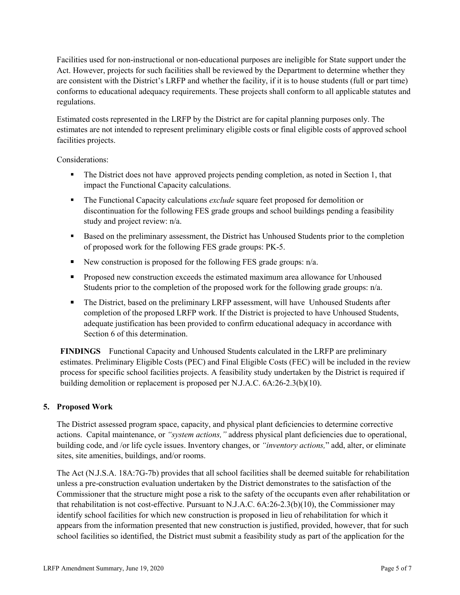Facilities used for non-instructional or non-educational purposes are ineligible for State support under the Act. However, projects for such facilities shall be reviewed by the Department to determine whether they are consistent with the District's LRFP and whether the facility, if it is to house students (full or part time) conforms to educational adequacy requirements. These projects shall conform to all applicable statutes and regulations.

Estimated costs represented in the LRFP by the District are for capital planning purposes only. The estimates are not intended to represent preliminary eligible costs or final eligible costs of approved school facilities projects.

Considerations:

- The District does not have approved projects pending completion, as noted in Section 1, that impact the Functional Capacity calculations.
- The Functional Capacity calculations *exclude* square feet proposed for demolition or discontinuation for the following FES grade groups and school buildings pending a feasibility study and project review: n/a.
- Based on the preliminary assessment, the District has Unhoused Students prior to the completion of proposed work for the following FES grade groups: PK-5.
- New construction is proposed for the following FES grade groups:  $n/a$ .
- **Proposed new construction exceeds the estimated maximum area allowance for Unhoused** Students prior to the completion of the proposed work for the following grade groups:  $n/a$ .
- The District, based on the preliminary LRFP assessment, will have Unhoused Students after completion of the proposed LRFP work. If the District is projected to have Unhoused Students, adequate justification has been provided to confirm educational adequacy in accordance with Section 6 of this determination.

**FINDINGS** Functional Capacity and Unhoused Students calculated in the LRFP are preliminary estimates. Preliminary Eligible Costs (PEC) and Final Eligible Costs (FEC) will be included in the review process for specific school facilities projects. A feasibility study undertaken by the District is required if building demolition or replacement is proposed per N.J.A.C. 6A:26-2.3(b)(10).

## **5. Proposed Work**

The District assessed program space, capacity, and physical plant deficiencies to determine corrective actions. Capital maintenance, or *"system actions,"* address physical plant deficiencies due to operational, building code, and /or life cycle issues. Inventory changes, or *"inventory actions,*" add, alter, or eliminate sites, site amenities, buildings, and/or rooms.

The Act (N.J.S.A. 18A:7G-7b) provides that all school facilities shall be deemed suitable for rehabilitation unless a pre-construction evaluation undertaken by the District demonstrates to the satisfaction of the Commissioner that the structure might pose a risk to the safety of the occupants even after rehabilitation or that rehabilitation is not cost-effective. Pursuant to N.J.A.C. 6A:26-2.3(b)(10), the Commissioner may identify school facilities for which new construction is proposed in lieu of rehabilitation for which it appears from the information presented that new construction is justified, provided, however, that for such school facilities so identified, the District must submit a feasibility study as part of the application for the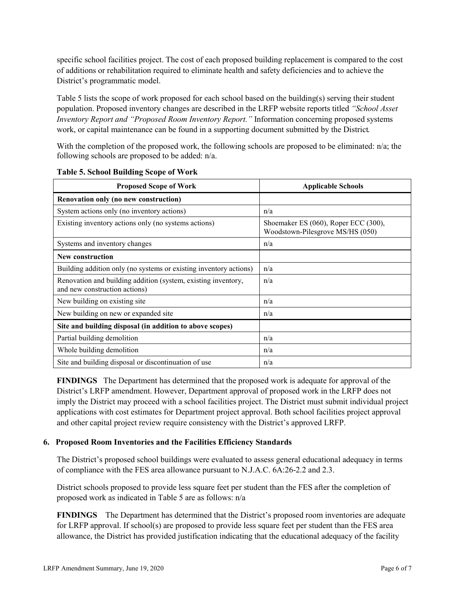specific school facilities project. The cost of each proposed building replacement is compared to the cost of additions or rehabilitation required to eliminate health and safety deficiencies and to achieve the District's programmatic model.

Table 5 lists the scope of work proposed for each school based on the building(s) serving their student population. Proposed inventory changes are described in the LRFP website reports titled *"School Asset Inventory Report and "Proposed Room Inventory Report."* Information concerning proposed systems work, or capital maintenance can be found in a supporting document submitted by the District.

With the completion of the proposed work, the following schools are proposed to be eliminated: n/a; the following schools are proposed to be added: n/a.

| <b>Proposed Scope of Work</b>                                                                  | <b>Applicable Schools</b>                                                |  |  |
|------------------------------------------------------------------------------------------------|--------------------------------------------------------------------------|--|--|
| Renovation only (no new construction)                                                          |                                                                          |  |  |
| System actions only (no inventory actions)                                                     | n/a                                                                      |  |  |
| Existing inventory actions only (no systems actions)                                           | Shoemaker ES (060), Roper ECC (300),<br>Woodstown-Pilesgrove MS/HS (050) |  |  |
| Systems and inventory changes                                                                  | n/a                                                                      |  |  |
| <b>New construction</b>                                                                        |                                                                          |  |  |
| Building addition only (no systems or existing inventory actions)                              | n/a                                                                      |  |  |
| Renovation and building addition (system, existing inventory,<br>and new construction actions) | n/a                                                                      |  |  |
| New building on existing site.                                                                 | n/a                                                                      |  |  |
| New building on new or expanded site                                                           | n/a                                                                      |  |  |
| Site and building disposal (in addition to above scopes)                                       |                                                                          |  |  |
| Partial building demolition                                                                    | n/a                                                                      |  |  |
| Whole building demolition                                                                      | n/a                                                                      |  |  |
| Site and building disposal or discontinuation of use                                           | n/a                                                                      |  |  |

**Table 5. School Building Scope of Work**

**FINDINGS** The Department has determined that the proposed work is adequate for approval of the District's LRFP amendment. However, Department approval of proposed work in the LRFP does not imply the District may proceed with a school facilities project. The District must submit individual project applications with cost estimates for Department project approval. Both school facilities project approval and other capital project review require consistency with the District's approved LRFP.

#### **6. Proposed Room Inventories and the Facilities Efficiency Standards**

The District's proposed school buildings were evaluated to assess general educational adequacy in terms of compliance with the FES area allowance pursuant to N.J.A.C. 6A:26-2.2 and 2.3.

District schools proposed to provide less square feet per student than the FES after the completion of proposed work as indicated in Table 5 are as follows: n/a

**FINDINGS** The Department has determined that the District's proposed room inventories are adequate for LRFP approval. If school(s) are proposed to provide less square feet per student than the FES area allowance, the District has provided justification indicating that the educational adequacy of the facility